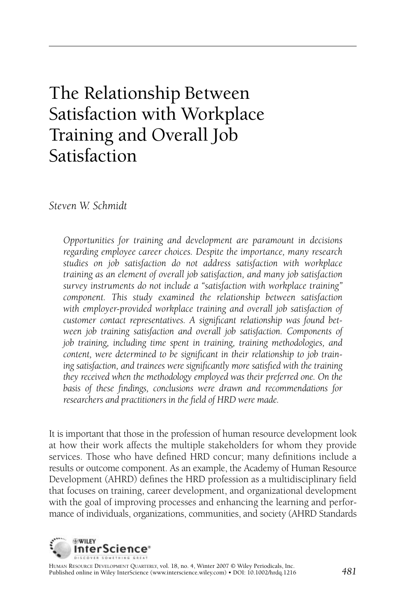# The Relationship Between Satisfaction with Workplace Training and Overall Job Satisfaction

*Steven W. Schmidt*

*Opportunities for training and development are paramount in decisions regarding employee career choices. Despite the importance, many research studies on job satisfaction do not address satisfaction with workplace training as an element of overall job satisfaction, and many job satisfaction survey instruments do not include a "satisfaction with workplace training" component. This study examined the relationship between satisfaction with employer-provided workplace training and overall job satisfaction of customer contact representatives. A significant relationship was found between job training satisfaction and overall job satisfaction. Components of job training, including time spent in training, training methodologies, and content, were determined to be significant in their relationship to job training satisfaction, and trainees were significantly more satisfied with the training they received when the methodology employed was their preferred one. On the basis of these findings, conclusions were drawn and recommendations for researchers and practitioners in the field of HRD were made.*

It is important that those in the profession of human resource development look at how their work affects the multiple stakeholders for whom they provide services. Those who have defined HRD concur; many definitions include a results or outcome component. As an example, the Academy of Human Resource Development (AHRD) defines the HRD profession as a multidisciplinary field that focuses on training, career development, and organizational development with the goal of improving processes and enhancing the learning and performance of individuals, organizations, communities, and society (AHRD Standards



HUMAN RESOURCE DEVELOPMENT QUARTERLY, vol. 18, no. 4, Winter 2007 © Wiley Periodicals, Inc. Published online in Wiley InterScience (www.interscience.wiley.com) • DOI: 10.1002/hrdq.1216 *481*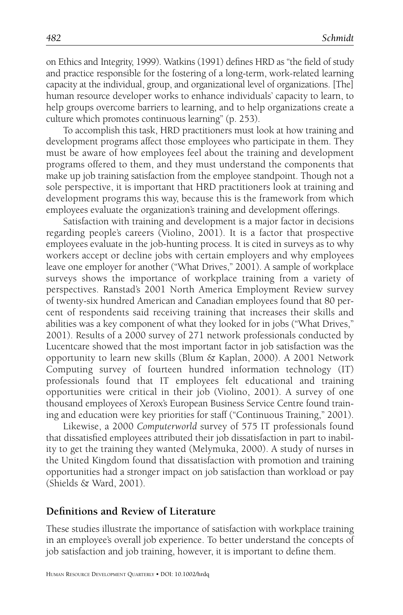on Ethics and Integrity, 1999). Watkins (1991) defines HRD as "the field of study and practice responsible for the fostering of a long-term, work-related learning capacity at the individual, group, and organizational level of organizations. [The] human resource developer works to enhance individuals' capacity to learn, to help groups overcome barriers to learning, and to help organizations create a culture which promotes continuous learning" (p. 253).

To accomplish this task, HRD practitioners must look at how training and development programs affect those employees who participate in them. They must be aware of how employees feel about the training and development programs offered to them, and they must understand the components that make up job training satisfaction from the employee standpoint. Though not a sole perspective, it is important that HRD practitioners look at training and development programs this way, because this is the framework from which employees evaluate the organization's training and development offerings.

Satisfaction with training and development is a major factor in decisions regarding people's careers (Violino, 2001). It is a factor that prospective employees evaluate in the job-hunting process. It is cited in surveys as to why workers accept or decline jobs with certain employers and why employees leave one employer for another ("What Drives," 2001). A sample of workplace surveys shows the importance of workplace training from a variety of perspectives. Ranstad's 2001 North America Employment Review survey of twenty-six hundred American and Canadian employees found that 80 percent of respondents said receiving training that increases their skills and abilities was a key component of what they looked for in jobs ("What Drives," 2001). Results of a 2000 survey of 271 network professionals conducted by Lucentcare showed that the most important factor in job satisfaction was the opportunity to learn new skills (Blum & Kaplan, 2000). A 2001 Network Computing survey of fourteen hundred information technology (IT) professionals found that IT employees felt educational and training opportunities were critical in their job (Violino, 2001). A survey of one thousand employees of Xerox's European Business Service Centre found training and education were key priorities for staff ("Continuous Training," 2001).

Likewise, a 2000 *Computerworld* survey of 575 IT professionals found that dissatisfied employees attributed their job dissatisfaction in part to inability to get the training they wanted (Melymuka, 2000). A study of nurses in the United Kingdom found that dissatisfaction with promotion and training opportunities had a stronger impact on job satisfaction than workload or pay (Shields & Ward, 2001).

#### **Definitions and Review of Literature**

These studies illustrate the importance of satisfaction with workplace training in an employee's overall job experience. To better understand the concepts of job satisfaction and job training, however, it is important to define them.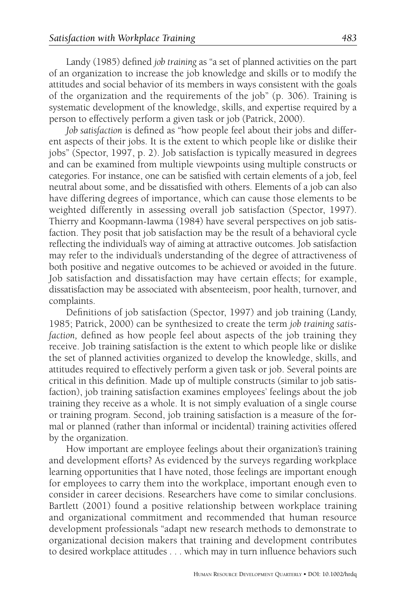Landy (1985) defined *job training* as "a set of planned activities on the part of an organization to increase the job knowledge and skills or to modify the attitudes and social behavior of its members in ways consistent with the goals of the organization and the requirements of the job" (p. 306). Training is systematic development of the knowledge, skills, and expertise required by a person to effectively perform a given task or job (Patrick, 2000).

*Job satisfaction* is defined as "how people feel about their jobs and different aspects of their jobs. It is the extent to which people like or dislike their jobs" (Spector, 1997, p. 2). Job satisfaction is typically measured in degrees and can be examined from multiple viewpoints using multiple constructs or categories. For instance, one can be satisfied with certain elements of a job, feel neutral about some, and be dissatisfied with others. Elements of a job can also have differing degrees of importance, which can cause those elements to be weighted differently in assessing overall job satisfaction (Spector, 1997). Thierry and Koopmann-Iawma (1984) have several perspectives on job satisfaction. They posit that job satisfaction may be the result of a behavioral cycle reflecting the individual's way of aiming at attractive outcomes. Job satisfaction may refer to the individual's understanding of the degree of attractiveness of both positive and negative outcomes to be achieved or avoided in the future. Job satisfaction and dissatisfaction may have certain effects; for example, dissatisfaction may be associated with absenteeism, poor health, turnover, and complaints.

Definitions of job satisfaction (Spector, 1997) and job training (Landy, 1985; Patrick, 2000) can be synthesized to create the term *job training satisfaction,* defined as how people feel about aspects of the job training they receive. Job training satisfaction is the extent to which people like or dislike the set of planned activities organized to develop the knowledge, skills, and attitudes required to effectively perform a given task or job. Several points are critical in this definition. Made up of multiple constructs (similar to job satisfaction), job training satisfaction examines employees' feelings about the job training they receive as a whole. It is not simply evaluation of a single course or training program. Second, job training satisfaction is a measure of the formal or planned (rather than informal or incidental) training activities offered by the organization.

How important are employee feelings about their organization's training and development efforts? As evidenced by the surveys regarding workplace learning opportunities that I have noted, those feelings are important enough for employees to carry them into the workplace, important enough even to consider in career decisions. Researchers have come to similar conclusions. Bartlett (2001) found a positive relationship between workplace training and organizational commitment and recommended that human resource development professionals "adapt new research methods to demonstrate to organizational decision makers that training and development contributes to desired workplace attitudes . . . which may in turn influence behaviors such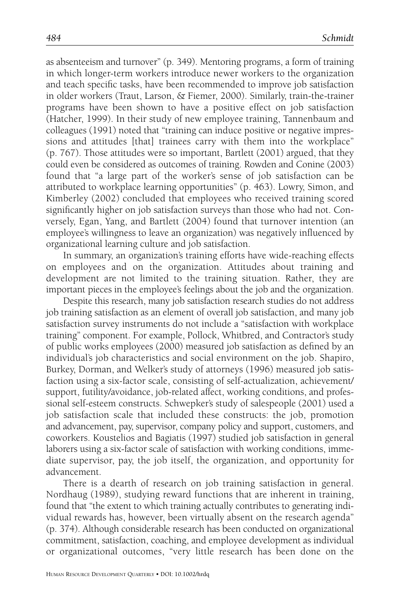as absenteeism and turnover" (p. 349). Mentoring programs, a form of training in which longer-term workers introduce newer workers to the organization and teach specific tasks, have been recommended to improve job satisfaction in older workers (Traut, Larson, & Fiemer, 2000). Similarly, train-the-trainer programs have been shown to have a positive effect on job satisfaction (Hatcher, 1999). In their study of new employee training, Tannenbaum and colleagues (1991) noted that "training can induce positive or negative impressions and attitudes [that] trainees carry with them into the workplace" (p. 767). Those attitudes were so important, Bartlett (2001) argued, that they could even be considered as outcomes of training. Rowden and Conine (2003) found that "a large part of the worker's sense of job satisfaction can be attributed to workplace learning opportunities" (p. 463). Lowry, Simon, and Kimberley (2002) concluded that employees who received training scored significantly higher on job satisfaction surveys than those who had not. Conversely, Egan, Yang, and Bartlett (2004) found that turnover intention (an employee's willingness to leave an organization) was negatively influenced by organizational learning culture and job satisfaction.

In summary, an organization's training efforts have wide-reaching effects on employees and on the organization. Attitudes about training and development are not limited to the training situation. Rather, they are important pieces in the employee's feelings about the job and the organization.

Despite this research, many job satisfaction research studies do not address job training satisfaction as an element of overall job satisfaction, and many job satisfaction survey instruments do not include a "satisfaction with workplace training" component. For example, Pollock, Whitbred, and Contractor's study of public works employees (2000) measured job satisfaction as defined by an individual's job characteristics and social environment on the job. Shapiro, Burkey, Dorman, and Welker's study of attorneys (1996) measured job satisfaction using a six-factor scale, consisting of self-actualization, achievement/ support, futility/avoidance, job-related affect, working conditions, and professional self-esteem constructs. Schwepker's study of salespeople (2001) used a job satisfaction scale that included these constructs: the job, promotion and advancement, pay, supervisor, company policy and support, customers, and coworkers. Koustelios and Bagiatis (1997) studied job satisfaction in general laborers using a six-factor scale of satisfaction with working conditions, immediate supervisor, pay, the job itself, the organization, and opportunity for advancement.

There is a dearth of research on job training satisfaction in general. Nordhaug (1989), studying reward functions that are inherent in training, found that "the extent to which training actually contributes to generating individual rewards has, however, been virtually absent on the research agenda" (p. 374). Although considerable research has been conducted on organizational commitment, satisfaction, coaching, and employee development as individual or organizational outcomes, "very little research has been done on the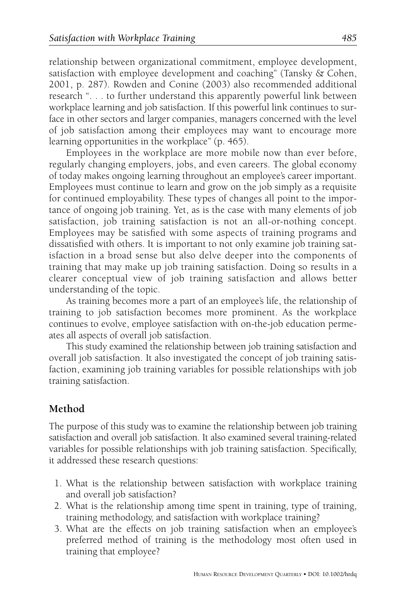relationship between organizational commitment, employee development, satisfaction with employee development and coaching" (Tansky & Cohen, 2001, p. 287). Rowden and Conine (2003) also recommended additional research ". . . to further understand this apparently powerful link between workplace learning and job satisfaction. If this powerful link continues to surface in other sectors and larger companies, managers concerned with the level of job satisfaction among their employees may want to encourage more learning opportunities in the workplace" (p. 465).

Employees in the workplace are more mobile now than ever before, regularly changing employers, jobs, and even careers. The global economy of today makes ongoing learning throughout an employee's career important. Employees must continue to learn and grow on the job simply as a requisite for continued employability. These types of changes all point to the importance of ongoing job training. Yet, as is the case with many elements of job satisfaction, job training satisfaction is not an all-or-nothing concept. Employees may be satisfied with some aspects of training programs and dissatisfied with others. It is important to not only examine job training satisfaction in a broad sense but also delve deeper into the components of training that may make up job training satisfaction. Doing so results in a clearer conceptual view of job training satisfaction and allows better understanding of the topic.

As training becomes more a part of an employee's life, the relationship of training to job satisfaction becomes more prominent. As the workplace continues to evolve, employee satisfaction with on-the-job education permeates all aspects of overall job satisfaction.

This study examined the relationship between job training satisfaction and overall job satisfaction. It also investigated the concept of job training satisfaction, examining job training variables for possible relationships with job training satisfaction.

# **Method**

The purpose of this study was to examine the relationship between job training satisfaction and overall job satisfaction. It also examined several training-related variables for possible relationships with job training satisfaction. Specifically, it addressed these research questions:

- 1. What is the relationship between satisfaction with workplace training and overall job satisfaction?
- 2. What is the relationship among time spent in training, type of training, training methodology, and satisfaction with workplace training?
- 3. What are the effects on job training satisfaction when an employee's preferred method of training is the methodology most often used in training that employee?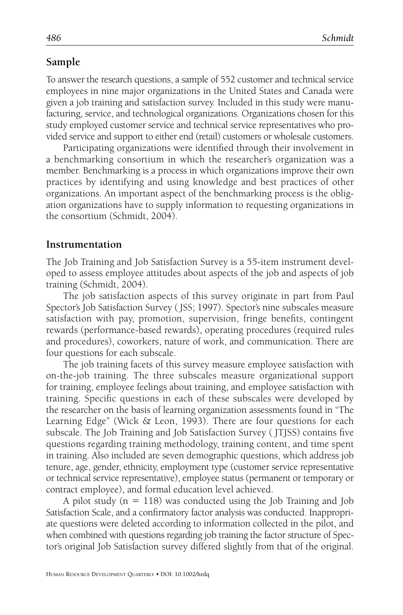# **Sample**

To answer the research questions, a sample of 552 customer and technical service employees in nine major organizations in the United States and Canada were given a job training and satisfaction survey. Included in this study were manufacturing, service, and technological organizations. Organizations chosen for this study employed customer service and technical service representatives who provided service and support to either end (retail) customers or wholesale customers.

Participating organizations were identified through their involvement in a benchmarking consortium in which the researcher's organization was a member. Benchmarking is a process in which organizations improve their own practices by identifying and using knowledge and best practices of other organizations. An important aspect of the benchmarking process is the obligation organizations have to supply information to requesting organizations in the consortium (Schmidt, 2004).

# **Instrumentation**

The Job Training and Job Satisfaction Survey is a 55-item instrument developed to assess employee attitudes about aspects of the job and aspects of job training (Schmidt, 2004).

The job satisfaction aspects of this survey originate in part from Paul Spector's Job Satisfaction Survey ( JSS; 1997). Spector's nine subscales measure satisfaction with pay, promotion, supervision, fringe benefits, contingent rewards (performance-based rewards), operating procedures (required rules and procedures), coworkers, nature of work, and communication. There are four questions for each subscale.

The job training facets of this survey measure employee satisfaction with on-the-job training. The three subscales measure organizational support for training, employee feelings about training, and employee satisfaction with training. Specific questions in each of these subscales were developed by the researcher on the basis of learning organization assessments found in "The Learning Edge" (Wick & Leon, 1993). There are four questions for each subscale. The Job Training and Job Satisfaction Survey ( JTJSS) contains five questions regarding training methodology, training content, and time spent in training. Also included are seven demographic questions, which address job tenure, age, gender, ethnicity, employment type (customer service representative or technical service representative), employee status (permanent or temporary or contract employee), and formal education level achieved.

A pilot study ( $n = 118$ ) was conducted using the Job Training and Job Satisfaction Scale, and a confirmatory factor analysis was conducted. Inappropriate questions were deleted according to information collected in the pilot, and when combined with questions regarding job training the factor structure of Spector's original Job Satisfaction survey differed slightly from that of the original.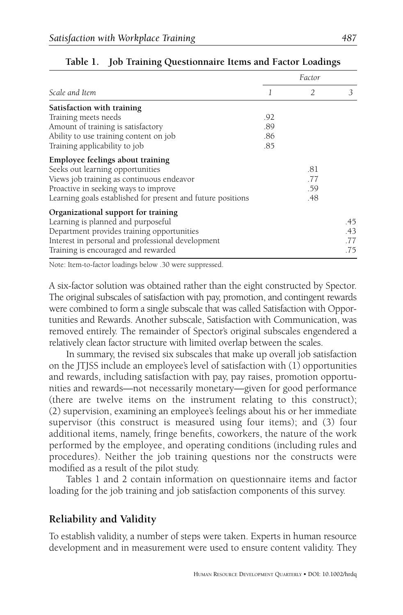|                                                             |     | Factor         |     |
|-------------------------------------------------------------|-----|----------------|-----|
| Scale and Item                                              |     | $\mathfrak{D}$ | 3   |
| Satisfaction with training                                  |     |                |     |
| Training meets needs                                        | .92 |                |     |
| Amount of training is satisfactory                          | .89 |                |     |
| Ability to use training content on job                      | .86 |                |     |
| Training applicability to job                               | .85 |                |     |
| Employee feelings about training                            |     |                |     |
| Seeks out learning opportunities                            |     | .81            |     |
| Views job training as continuous endeavor                   |     | .77            |     |
| Proactive in seeking ways to improve                        |     | .59            |     |
| Learning goals established for present and future positions |     | .48            |     |
| Organizational support for training                         |     |                |     |
| Learning is planned and purposeful                          |     |                | .45 |
| Department provides training opportunities                  |     |                | .43 |
| Interest in personal and professional development           |     |                | .77 |
| Training is encouraged and rewarded                         |     |                | .75 |

## **Table 1. Job Training Questionnaire Items and Factor Loadings**

Note: Item-to-factor loadings below .30 were suppressed.

A six-factor solution was obtained rather than the eight constructed by Spector. The original subscales of satisfaction with pay, promotion, and contingent rewards were combined to form a single subscale that was called Satisfaction with Opportunities and Rewards. Another subscale, Satisfaction with Communication, was removed entirely. The remainder of Spector's original subscales engendered a relatively clean factor structure with limited overlap between the scales.

In summary, the revised six subscales that make up overall job satisfaction on the JTJSS include an employee's level of satisfaction with (1) opportunities and rewards, including satisfaction with pay, pay raises, promotion opportunities and rewards—not necessarily monetary—given for good performance (there are twelve items on the instrument relating to this construct); (2) supervision, examining an employee's feelings about his or her immediate supervisor (this construct is measured using four items); and (3) four additional items, namely, fringe benefits, coworkers, the nature of the work performed by the employee, and operating conditions (including rules and procedures). Neither the job training questions nor the constructs were modified as a result of the pilot study.

Tables 1 and 2 contain information on questionnaire items and factor loading for the job training and job satisfaction components of this survey.

# **Reliability and Validity**

To establish validity, a number of steps were taken. Experts in human resource development and in measurement were used to ensure content validity. They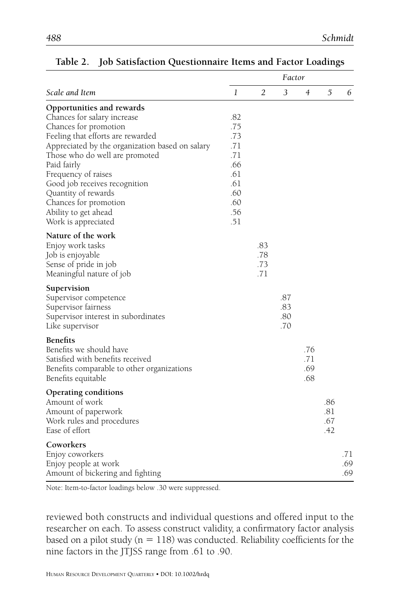|                                                                                                                                                                                                                                                                                                                                                                                   |                                                                                  | Factor                   |                          |                          |                          |                   |  |
|-----------------------------------------------------------------------------------------------------------------------------------------------------------------------------------------------------------------------------------------------------------------------------------------------------------------------------------------------------------------------------------|----------------------------------------------------------------------------------|--------------------------|--------------------------|--------------------------|--------------------------|-------------------|--|
| Scale and Item                                                                                                                                                                                                                                                                                                                                                                    | 1                                                                                | $\overline{2}$           | 3                        | $\overline{4}$           | 5                        | 6                 |  |
| Opportunities and rewards<br>Chances for salary increase<br>Chances for promotion<br>Feeling that efforts are rewarded<br>Appreciated by the organization based on salary<br>Those who do well are promoted<br>Paid fairly<br>Frequency of raises<br>Good job receives recognition<br>Quantity of rewards<br>Chances for promotion<br>Ability to get ahead<br>Work is appreciated | .82<br>.75<br>.73<br>.71<br>.71<br>.66<br>.61<br>.61<br>.60<br>.60<br>.56<br>.51 |                          |                          |                          |                          |                   |  |
| Nature of the work<br>Enjoy work tasks<br>Job is enjoyable<br>Sense of pride in job<br>Meaningful nature of job                                                                                                                                                                                                                                                                   |                                                                                  | .83<br>.78<br>.73<br>.71 |                          |                          |                          |                   |  |
| Supervision<br>Supervisor competence<br>Supervisor fairness<br>Supervisor interest in subordinates<br>Like supervisor                                                                                                                                                                                                                                                             |                                                                                  |                          | .87<br>.83<br>.80<br>.70 |                          |                          |                   |  |
| <b>Benefits</b><br>Benefits we should have<br>Satisfied with benefits received<br>Benefits comparable to other organizations<br>Benefits equitable                                                                                                                                                                                                                                |                                                                                  |                          |                          | .76<br>.71<br>.69<br>.68 |                          |                   |  |
| Operating conditions<br>Amount of work<br>Amount of paperwork<br>Work rules and procedures<br>Ease of effort                                                                                                                                                                                                                                                                      |                                                                                  |                          |                          |                          | .86<br>.81<br>.67<br>.42 |                   |  |
| Coworkers<br>Enjoy coworkers<br>Enjoy people at work<br>Amount of bickering and fighting                                                                                                                                                                                                                                                                                          |                                                                                  |                          |                          |                          |                          | .71<br>.69<br>.69 |  |

## **Table 2. Job Satisfaction Questionnaire Items and Factor Loadings**

Note: Item-to-factor loadings below .30 were suppressed.

reviewed both constructs and individual questions and offered input to the researcher on each. To assess construct validity, a confirmatory factor analysis based on a pilot study ( $n = 118$ ) was conducted. Reliability coefficients for the nine factors in the JTJSS range from .61 to .90.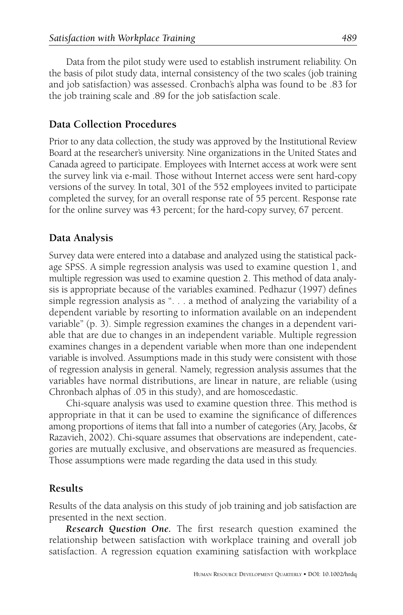Data from the pilot study were used to establish instrument reliability. On the basis of pilot study data, internal consistency of the two scales (job training and job satisfaction) was assessed. Cronbach's alpha was found to be .83 for the job training scale and .89 for the job satisfaction scale.

## **Data Collection Procedures**

Prior to any data collection, the study was approved by the Institutional Review Board at the researcher's university. Nine organizations in the United States and Canada agreed to participate. Employees with Internet access at work were sent the survey link via e-mail. Those without Internet access were sent hard-copy versions of the survey. In total, 301 of the 552 employees invited to participate completed the survey, for an overall response rate of 55 percent. Response rate for the online survey was 43 percent; for the hard-copy survey, 67 percent.

## **Data Analysis**

Survey data were entered into a database and analyzed using the statistical package SPSS. A simple regression analysis was used to examine question 1, and multiple regression was used to examine question 2. This method of data analysis is appropriate because of the variables examined. Pedhazur (1997) defines simple regression analysis as ". . . a method of analyzing the variability of a dependent variable by resorting to information available on an independent variable" (p. 3). Simple regression examines the changes in a dependent variable that are due to changes in an independent variable. Multiple regression examines changes in a dependent variable when more than one independent variable is involved. Assumptions made in this study were consistent with those of regression analysis in general. Namely, regression analysis assumes that the variables have normal distributions, are linear in nature, are reliable (using Chronbach alphas of .05 in this study), and are homoscedastic.

Chi-square analysis was used to examine question three. This method is appropriate in that it can be used to examine the significance of differences among proportions of items that fall into a number of categories (Ary, Jacobs, & Razavieh, 2002). Chi-square assumes that observations are independent, categories are mutually exclusive, and observations are measured as frequencies. Those assumptions were made regarding the data used in this study.

### **Results**

Results of the data analysis on this study of job training and job satisfaction are presented in the next section.

*Research Question One.* The first research question examined the relationship between satisfaction with workplace training and overall job satisfaction. A regression equation examining satisfaction with workplace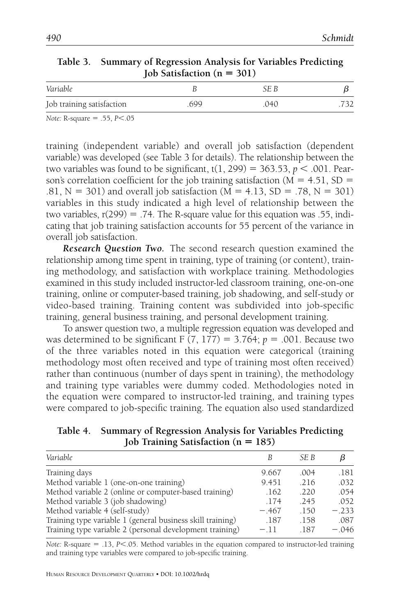|                           | $100$ cmassimetrom $\{11, 12, 13, 15\}$ |      |  |
|---------------------------|-----------------------------------------|------|--|
| Variable                  |                                         | SE B |  |
| Job training satisfaction | .699                                    | 040  |  |
|                           |                                         |      |  |

**Table 3. Summary of Regression Analysis for Variables Predicting**   $I$ ob Satisfaction ( $n = 301$ )

*Note:* R-square = .55, *P*<.05

training (independent variable) and overall job satisfaction (dependent variable) was developed (see Table 3 for details). The relationship between the two variables was found to be significant, t( $1, 299$ ) = 363.53,  $p < .001$ . Pearson's correlation coefficient for the job training satisfaction ( $M = 4.51$ , SD = .81,  $N = 301$ ) and overall job satisfaction ( $M = 4.13$ ,  $SD = .78$ ,  $N = 301$ ) variables in this study indicated a high level of relationship between the two variables,  $r(299) = .74$ . The R-square value for this equation was .55, indicating that job training satisfaction accounts for 55 percent of the variance in overall job satisfaction.

*Research Question Two.* The second research question examined the relationship among time spent in training, type of training (or content), training methodology, and satisfaction with workplace training. Methodologies examined in this study included instructor-led classroom training, one-on-one training, online or computer-based training, job shadowing, and self-study or video-based training. Training content was subdivided into job-specific training, general business training, and personal development training.

To answer question two, a multiple regression equation was developed and was determined to be significant F  $(7, 177) = 3.764$ ;  $p = .001$ . Because two of the three variables noted in this equation were categorical (training methodology most often received and type of training most often received) rather than continuous (number of days spent in training), the methodology and training type variables were dummy coded. Methodologies noted in the equation were compared to instructor-led training, and training types were compared to job-specific training. The equation also used standardized

**Table 4. Summary of Regression Analysis for Variables Predicting Job Training Satisfaction (n = 185)** 

| Variable                                                   | B       | SE B | β       |
|------------------------------------------------------------|---------|------|---------|
| Training days                                              | 9.667   | .004 | .181    |
| Method variable 1 (one-on-one training)                    | 9.451   | .216 | .032    |
| Method variable 2 (online or computer-based training)      | .162    | .220 | .054    |
| Method variable 3 (job shadowing)                          | .174    | .245 | .052    |
| Method variable 4 (self-study)                             | $-.467$ | .150 | $-.233$ |
| Training type variable 1 (general business skill training) | .187    | .158 | .087    |
| Training type variable 2 (personal development training)   | $-.11$  | .187 | $-.046$ |

*Note:* R-square = .13, *P*<.05. Method variables in the equation compared to instructor-led training and training type variables were compared to job-specific training.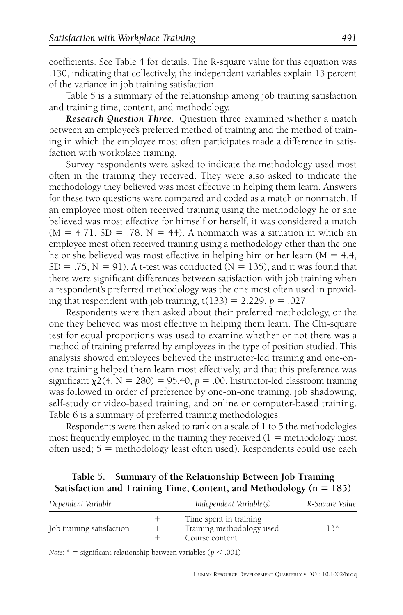coefficients. See Table 4 for details. The R-square value for this equation was .130, indicating that collectively, the independent variables explain 13 percent of the variance in job training satisfaction.

Table 5 is a summary of the relationship among job training satisfaction and training time, content, and methodology.

*Research Question Three.* Question three examined whether a match between an employee's preferred method of training and the method of training in which the employee most often participates made a difference in satisfaction with workplace training.

Survey respondents were asked to indicate the methodology used most often in the training they received. They were also asked to indicate the methodology they believed was most effective in helping them learn. Answers for these two questions were compared and coded as a match or nonmatch. If an employee most often received training using the methodology he or she believed was most effective for himself or herself, it was considered a match  $(M = 4.71, SD = .78, N = 44)$ . A nonmatch was a situation in which an employee most often received training using a methodology other than the one he or she believed was most effective in helping him or her learn ( $M = 4.4$ ,  $SD = .75$ ,  $N = 91$ ). A t-test was conducted ( $N = 135$ ), and it was found that there were significant differences between satisfaction with job training when a respondent's preferred methodology was the one most often used in providing that respondent with job training,  $t(133) = 2.229$ ,  $p = .027$ .

Respondents were then asked about their preferred methodology, or the one they believed was most effective in helping them learn. The Chi-square test for equal proportions was used to examine whether or not there was a method of training preferred by employees in the type of position studied. This analysis showed employees believed the instructor-led training and one-onone training helped them learn most effectively, and that this preference was significant  $\chi$ 2(4, N = 280) = 95.40, *p* = .00. Instructor-led classroom training was followed in order of preference by one-on-one training, job shadowing, self-study or video-based training, and online or computer-based training. Table 6 is a summary of preferred training methodologies.

Respondents were then asked to rank on a scale of 1 to 5 the methodologies most frequently employed in the training they received  $(1 =$  methodology most often used;  $5 =$  methodology least often used). Respondents could use each

#### **Table 5. Summary of the Relationship Between Job Training Satisfaction and Training Time, Content, and Methodology (n 185)**

| Dependent Variable        | Independent Variable(s)                                               | R-Square Value |
|---------------------------|-----------------------------------------------------------------------|----------------|
| Job training satisfaction | Time spent in training<br>Training methodology used<br>Course content | $13*$          |

*Note:*  $* =$  significant relationship between variables ( $p < .001$ )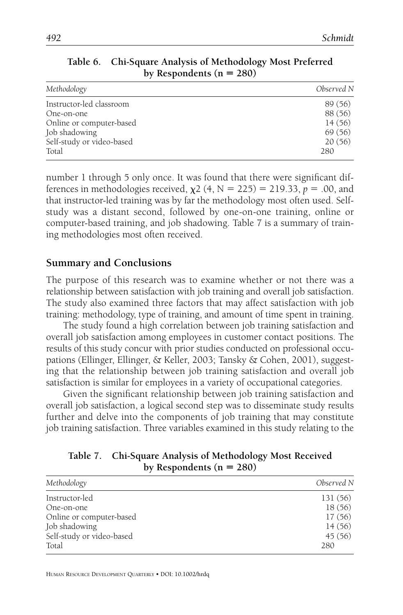| Methodology               | Observed N |
|---------------------------|------------|
| Instructor-led classroom  | 89 (56)    |
| One-on-one                | 88 (56)    |
| Online or computer-based  | 14(56)     |
| Job shadowing             | 69(56)     |
| Self-study or video-based | 20(56)     |
| Total                     | 280        |
|                           |            |

**Table 6. Chi-Square Analysis of Methodology Most Preferred**  by Respondents  $(n = 280)$ 

number 1 through 5 only once. It was found that there were significant differences in methodologies received,  $\chi$ 2 (4, N = 225) = 219.33, p = .00, and that instructor-led training was by far the methodology most often used. Selfstudy was a distant second, followed by one-on-one training, online or computer-based training, and job shadowing. Table 7 is a summary of training methodologies most often received.

#### **Summary and Conclusions**

The purpose of this research was to examine whether or not there was a relationship between satisfaction with job training and overall job satisfaction. The study also examined three factors that may affect satisfaction with job training: methodology, type of training, and amount of time spent in training.

The study found a high correlation between job training satisfaction and overall job satisfaction among employees in customer contact positions. The results of this study concur with prior studies conducted on professional occupations (Ellinger, Ellinger, & Keller, 2003; Tansky & Cohen, 2001), suggesting that the relationship between job training satisfaction and overall job satisfaction is similar for employees in a variety of occupational categories.

Given the significant relationship between job training satisfaction and overall job satisfaction, a logical second step was to disseminate study results further and delve into the components of job training that may constitute job training satisfaction. Three variables examined in this study relating to the

| Table 7. Chi-Square Analysis of Methodology Most Received |
|-----------------------------------------------------------|
| by Respondents $(n = 280)$                                |

| Methodology               | Observed N |
|---------------------------|------------|
| Instructor-led            | 131 (56)   |
| One-on-one                | 18(56)     |
| Online or computer-based  | 17(56)     |
| Job shadowing             | 14(56)     |
| Self-study or video-based | 45(56)     |
| Total                     | 280        |

HUMAN RESOURCE DEVELOPMENT QUARTERLY • DOI: 10.1002/hrdq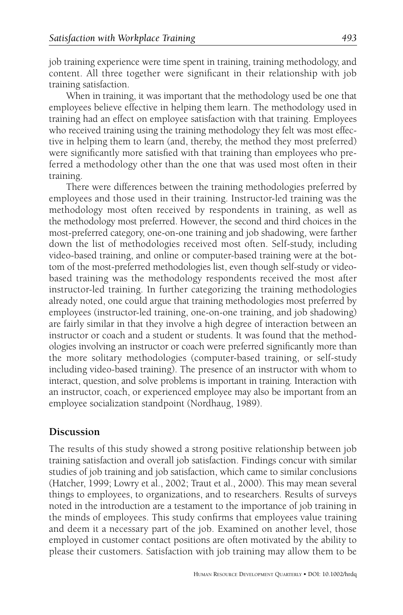job training experience were time spent in training, training methodology, and content. All three together were significant in their relationship with job training satisfaction.

When in training, it was important that the methodology used be one that employees believe effective in helping them learn. The methodology used in training had an effect on employee satisfaction with that training. Employees who received training using the training methodology they felt was most effective in helping them to learn (and, thereby, the method they most preferred) were significantly more satisfied with that training than employees who preferred a methodology other than the one that was used most often in their training.

There were differences between the training methodologies preferred by employees and those used in their training. Instructor-led training was the methodology most often received by respondents in training, as well as the methodology most preferred. However, the second and third choices in the most-preferred category, one-on-one training and job shadowing, were farther down the list of methodologies received most often. Self-study, including video-based training, and online or computer-based training were at the bottom of the most-preferred methodologies list, even though self-study or videobased training was the methodology respondents received the most after instructor-led training. In further categorizing the training methodologies already noted, one could argue that training methodologies most preferred by employees (instructor-led training, one-on-one training, and job shadowing) are fairly similar in that they involve a high degree of interaction between an instructor or coach and a student or students. It was found that the methodologies involving an instructor or coach were preferred significantly more than the more solitary methodologies (computer-based training, or self-study including video-based training). The presence of an instructor with whom to interact, question, and solve problems is important in training. Interaction with an instructor, coach, or experienced employee may also be important from an employee socialization standpoint (Nordhaug, 1989).

## **Discussion**

The results of this study showed a strong positive relationship between job training satisfaction and overall job satisfaction. Findings concur with similar studies of job training and job satisfaction, which came to similar conclusions (Hatcher, 1999; Lowry et al., 2002; Traut et al., 2000). This may mean several things to employees, to organizations, and to researchers. Results of surveys noted in the introduction are a testament to the importance of job training in the minds of employees. This study confirms that employees value training and deem it a necessary part of the job. Examined on another level, those employed in customer contact positions are often motivated by the ability to please their customers. Satisfaction with job training may allow them to be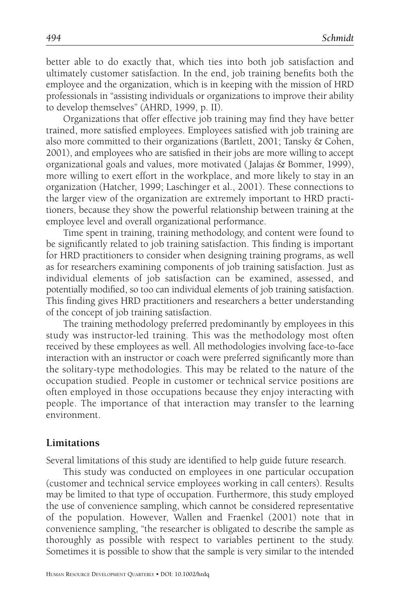better able to do exactly that, which ties into both job satisfaction and ultimately customer satisfaction. In the end, job training benefits both the employee and the organization, which is in keeping with the mission of HRD professionals in "assisting individuals or organizations to improve their ability to develop themselves" (AHRD, 1999, p. II).

Organizations that offer effective job training may find they have better trained, more satisfied employees. Employees satisfied with job training are also more committed to their organizations (Bartlett, 2001; Tansky & Cohen, 2001), and employees who are satisfied in their jobs are more willing to accept organizational goals and values, more motivated ( Jalajas & Bommer, 1999), more willing to exert effort in the workplace, and more likely to stay in an organization (Hatcher, 1999; Laschinger et al., 2001). These connections to the larger view of the organization are extremely important to HRD practitioners, because they show the powerful relationship between training at the employee level and overall organizational performance.

Time spent in training, training methodology, and content were found to be significantly related to job training satisfaction. This finding is important for HRD practitioners to consider when designing training programs, as well as for researchers examining components of job training satisfaction. Just as individual elements of job satisfaction can be examined, assessed, and potentially modified, so too can individual elements of job training satisfaction. This finding gives HRD practitioners and researchers a better understanding of the concept of job training satisfaction.

The training methodology preferred predominantly by employees in this study was instructor-led training. This was the methodology most often received by these employees as well. All methodologies involving face-to-face interaction with an instructor or coach were preferred significantly more than the solitary-type methodologies. This may be related to the nature of the occupation studied. People in customer or technical service positions are often employed in those occupations because they enjoy interacting with people. The importance of that interaction may transfer to the learning environment.

#### **Limitations**

Several limitations of this study are identified to help guide future research.

This study was conducted on employees in one particular occupation (customer and technical service employees working in call centers). Results may be limited to that type of occupation. Furthermore, this study employed the use of convenience sampling, which cannot be considered representative of the population. However, Wallen and Fraenkel (2001) note that in convenience sampling, "the researcher is obligated to describe the sample as thoroughly as possible with respect to variables pertinent to the study. Sometimes it is possible to show that the sample is very similar to the intended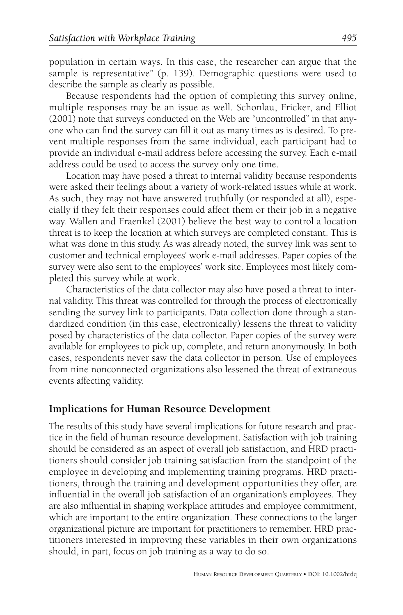population in certain ways. In this case, the researcher can argue that the sample is representative" (p. 139). Demographic questions were used to describe the sample as clearly as possible.

Because respondents had the option of completing this survey online, multiple responses may be an issue as well. Schonlau, Fricker, and Elliot (2001) note that surveys conducted on the Web are "uncontrolled" in that anyone who can find the survey can fill it out as many times as is desired. To prevent multiple responses from the same individual, each participant had to provide an individual e-mail address before accessing the survey. Each e-mail address could be used to access the survey only one time.

Location may have posed a threat to internal validity because respondents were asked their feelings about a variety of work-related issues while at work. As such, they may not have answered truthfully (or responded at all), especially if they felt their responses could affect them or their job in a negative way. Wallen and Fraenkel (2001) believe the best way to control a location threat is to keep the location at which surveys are completed constant. This is what was done in this study. As was already noted, the survey link was sent to customer and technical employees' work e-mail addresses. Paper copies of the survey were also sent to the employees' work site. Employees most likely completed this survey while at work.

Characteristics of the data collector may also have posed a threat to internal validity. This threat was controlled for through the process of electronically sending the survey link to participants. Data collection done through a standardized condition (in this case, electronically) lessens the threat to validity posed by characteristics of the data collector. Paper copies of the survey were available for employees to pick up, complete, and return anonymously. In both cases, respondents never saw the data collector in person. Use of employees from nine nonconnected organizations also lessened the threat of extraneous events affecting validity.

#### **Implications for Human Resource Development**

The results of this study have several implications for future research and practice in the field of human resource development. Satisfaction with job training should be considered as an aspect of overall job satisfaction, and HRD practitioners should consider job training satisfaction from the standpoint of the employee in developing and implementing training programs. HRD practitioners, through the training and development opportunities they offer, are influential in the overall job satisfaction of an organization's employees. They are also influential in shaping workplace attitudes and employee commitment, which are important to the entire organization. These connections to the larger organizational picture are important for practitioners to remember. HRD practitioners interested in improving these variables in their own organizations should, in part, focus on job training as a way to do so.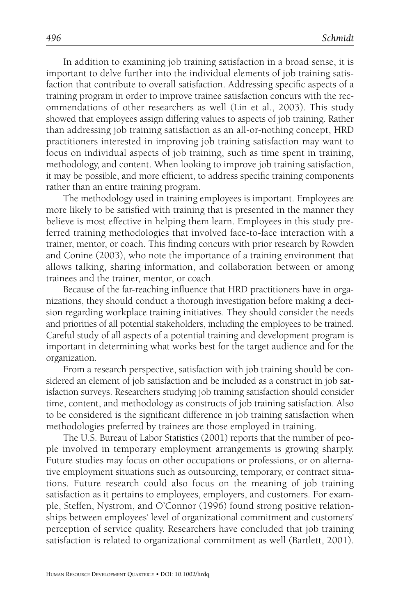In addition to examining job training satisfaction in a broad sense, it is important to delve further into the individual elements of job training satisfaction that contribute to overall satisfaction. Addressing specific aspects of a training program in order to improve trainee satisfaction concurs with the recommendations of other researchers as well (Lin et al., 2003). This study showed that employees assign differing values to aspects of job training. Rather than addressing job training satisfaction as an all-or-nothing concept, HRD practitioners interested in improving job training satisfaction may want to focus on individual aspects of job training, such as time spent in training, methodology, and content. When looking to improve job training satisfaction, it may be possible, and more efficient, to address specific training components rather than an entire training program.

The methodology used in training employees is important. Employees are more likely to be satisfied with training that is presented in the manner they believe is most effective in helping them learn. Employees in this study preferred training methodologies that involved face-to-face interaction with a trainer, mentor, or coach. This finding concurs with prior research by Rowden and Conine (2003), who note the importance of a training environment that allows talking, sharing information, and collaboration between or among trainees and the trainer, mentor, or coach.

Because of the far-reaching influence that HRD practitioners have in organizations, they should conduct a thorough investigation before making a decision regarding workplace training initiatives. They should consider the needs and priorities of all potential stakeholders, including the employees to be trained. Careful study of all aspects of a potential training and development program is important in determining what works best for the target audience and for the organization.

From a research perspective, satisfaction with job training should be considered an element of job satisfaction and be included as a construct in job satisfaction surveys. Researchers studying job training satisfaction should consider time, content, and methodology as constructs of job training satisfaction. Also to be considered is the significant difference in job training satisfaction when methodologies preferred by trainees are those employed in training.

The U.S. Bureau of Labor Statistics (2001) reports that the number of people involved in temporary employment arrangements is growing sharply. Future studies may focus on other occupations or professions, or on alternative employment situations such as outsourcing, temporary, or contract situations. Future research could also focus on the meaning of job training satisfaction as it pertains to employees, employers, and customers. For example, Steffen, Nystrom, and O'Connor (1996) found strong positive relationships between employees' level of organizational commitment and customers' perception of service quality. Researchers have concluded that job training satisfaction is related to organizational commitment as well (Bartlett, 2001).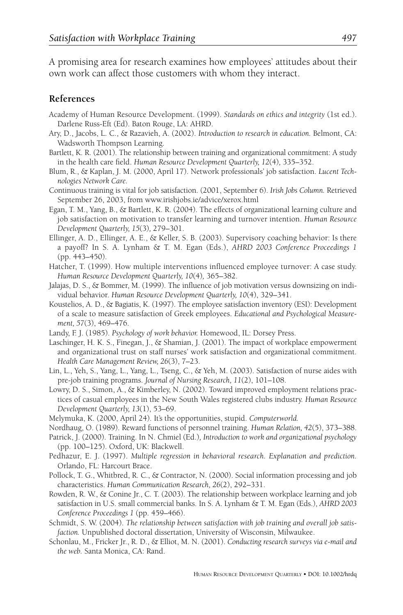A promising area for research examines how employees' attitudes about their own work can affect those customers with whom they interact.

#### **References**

- Academy of Human Resource Development. (1999). *Standards on ethics and integrity* (1st ed.). Darlene Russ-Eft (Ed). Baton Rouge, LA: AHRD.
- Ary, D., Jacobs, L. C., & Razavieh, A. (2002). *Introduction to research in education.* Belmont, CA: Wadsworth Thompson Learning.
- Bartlett, K. R. (2001). The relationship between training and organizational commitment: A study in the health care field. *Human Resource Development Quarterly, 12*(4)*,* 335–352.
- Blum, R., & Kaplan, J. M. (2000, April 17). Network professionals' job satisfaction. *Lucent Technologies Network Care.*
- Continuous training is vital for job satisfaction. (2001, September 6). *Irish Jobs Column.* Retrieved September 26, 2003, from www.irishjobs.ie/advice/xerox.html
- Egan, T. M., Yang, B., & Bartlett, K. R. (2004). The effects of organizational learning culture and job satisfaction on motivation to transfer learning and turnover intention. *Human Resource Development Quarterly, 15*(3)*,* 279–301.
- Ellinger, A. D., Ellinger, A. E., & Keller, S. B. (2003). Supervisory coaching behavior: Is there a payoff? In S. A. Lynham & T. M. Egan (Eds.), *AHRD 2003 Conference Proceedings 1* (pp. 443–450).
- Hatcher, T. (1999). How multiple interventions influenced employee turnover: A case study. *Human Resource Development Quarterly, 10*(4)*,* 365–382.
- Jalajas, D. S., & Bommer, M. (1999). The influence of job motivation versus downsizing on individual behavior. *Human Resource Development Quarterly, 10*(4), 329–341.
- Koustelios, A. D., & Bagiatis, K. (1997). The employee satisfaction inventory (ESI): Development of a scale to measure satisfaction of Greek employees. *Educational and Psychological Measurement, 57*(3), 469–476.
- Landy, F. J. (1985). *Psychology of work behavior.* Homewood, IL: Dorsey Press.
- Laschinger, H. K. S., Finegan, J., & Shamian, J. (2001). The impact of workplace empowerment and organizational trust on staff nurses' work satisfaction and organizational commitment. *Health Care Management Review, 26*(3), 7–23.
- Lin, L., Yeh, S., Yang, L., Yang, L., Tseng, C., & Yeh, M. (2003). Satisfaction of nurse aides with pre-job training programs. *Journal of Nursing Research, 11*(2), 101–108.
- Lowry, D. S., Simon, A., & Kimberley, N. (2002). Toward improved employment relations practices of casual employees in the New South Wales registered clubs industry. *Human Resource Development Quarterly, 13*(1), 53–69.
- Melymuka, K. (2000, April 24). It's the opportunities, stupid. *Computerworld.*
- Nordhaug, O. (1989). Reward functions of personnel training. *Human Relation, 42*(5), 373–388.
- Patrick, J. (2000). Training. In N. Chmiel (Ed.)*, Introduction to work and organizational psychology* (pp. 100–125). Oxford, UK: Blackwell.
- Pedhazur, E. J. (1997). *Multiple regression in behavioral research. Explanation and prediction.* Orlando, FL: Harcourt Brace.
- Pollock, T. G., Whitbred, R. C., & Contractor, N. (2000). Social information processing and job characteristics. *Human Communication Research, 26*(2), 292–331.
- Rowden, R. W., & Conine Jr., C. T. (2003). The relationship between workplace learning and job satisfaction in U.S. small commercial banks. In S. A. Lynham & T. M. Egan (Eds.), *AHRD 2003 Conference Proceedings 1* (pp. 459–466).
- Schmidt, S. W. (2004). *The relationship between satisfaction with job training and overall job satisfaction.* Unpublished doctoral dissertation, University of Wisconsin, Milwaukee.
- Schonlau, M., Fricker Jr., R. D., & Elliot, M. N. (2001). *Conducting research surveys via e-mail and the web.* Santa Monica, CA: Rand.